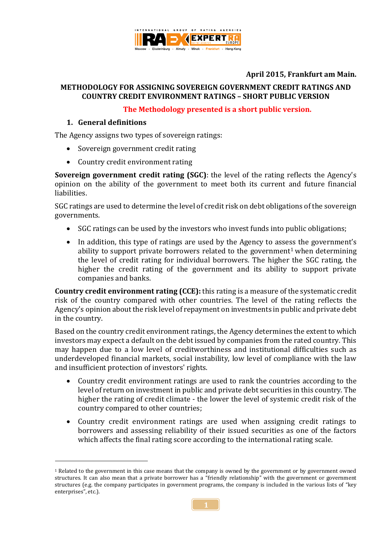

# **April 2015, Frankfurt am Main.**

#### **METHODOLOGY FOR ASSIGNING SOVEREIGN GOVERNMENT CREDIT RATINGS AND COUNTRY CREDIT ENVIRONMENT RATINGS – SHORT PUBLIC VERSION**

#### **The Methodology presented is a short public version.**

#### **1. General definitions**

1

The Agency assigns two types of sovereign ratings:

- Sovereign government credit rating
- Country credit environment rating

**Sovereign government credit rating (SGC)**: the level of the rating reflects the Agency's opinion on the ability of the government to meet both its current and future financial liabilities.

SGC ratings are used to determine the level of credit risk on debt obligations of the sovereign governments.

- SGC ratings can be used by the investors who invest funds into public obligations;
- In addition, this type of ratings are used by the Agency to assess the government's ability to support private borrowers related to the government<sup>1</sup> when determining the level of credit rating for individual borrowers. The higher the SGC rating, the higher the credit rating of the government and its ability to support private companies and banks.

**Country credit environment rating (CCE):** this rating is a measure of the systematic credit risk of the country compared with other countries. The level of the rating reflects the Agency's opinion about the risk level of repayment on investments in public and private debt in the country.

Based on the country credit environment ratings, the Agency determines the extent to which investors may expect a default on the debt issued by companies from the rated country. This may happen due to a low level of creditworthiness and institutional difficulties such as underdeveloped financial markets, social instability, low level of compliance with the law and insufficient protection of investors' rights.

- Country credit environment ratings are used to rank the countries according to the level of return on investment in public and private debt securities in this country. The higher the rating of credit climate - the lower the level of systemic credit risk of the country compared to other countries;
- Country credit environment ratings are used when assigning credit ratings to borrowers and assessing reliability of their issued securities as one of the factors which affects the final rating score according to the international rating scale.

<sup>1</sup> Related to the government in this case means that the company is owned by the government or by government owned structures. It can also mean that a private borrower has a "friendly relationship" with the government or government structures (e.g. the company participates in government programs, the company is included in the various lists of "key enterprises", etc.).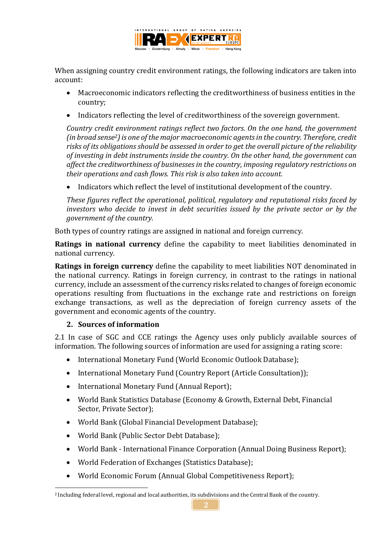

When assigning country credit environment ratings, the following indicators are taken into account:

- Macroeconomic indicators reflecting the creditworthiness of business entities in the country;
- Indicators reflecting the level of creditworthiness of the sovereign government.

*Country credit environment ratings reflect two factors. On the one hand, the government (in broad sense2) is one of the major macroeconomic agents in the country. Therefore, credit risks of its obligations should be assessed in order to get the overall picture of the reliability of investing in debt instruments inside the country. On the other hand, the government can affect the creditworthiness of businesses in the country, imposing regulatory restrictions on their operations and cash flows. This risk is also taken into account.*

• Indicators which reflect the level of institutional development of the country.

*These figures reflect the operational, political, regulatory and reputational risks faced by investors who decide to invest in debt securities issued by the private sector or by the government of the country.*

Both types of country ratings are assigned in national and foreign currency.

**Ratings in national currency** define the capability to meet liabilities denominated in national currency.

**Ratings in foreign currency** define the capability to meet liabilities NOT denominated in the national currency. Ratings in foreign currency, in contrast to the ratings in national currency, include an assessment of the currency risks related to changes of foreign economic operations resulting from fluctuations in the exchange rate and restrictions on foreign exchange transactions, as well as the depreciation of foreign currency assets of the government and economic agents of the country.

#### **2. Sources of information**

2.1 In case of SGC and CCE ratings the Agency uses only publicly available sources of information. The following sources of information are used for assigning a rating score:

- International Monetary Fund (World Economic Outlook Database);
- International Monetary Fund (Country Report (Article Consultation));
- International Monetary Fund (Annual Report);
- World Bank Statistics Database (Economy & Growth, External Debt, Financial Sector, Private Sector);
- World Bank (Global Financial Development Database);
- World Bank (Public Sector Debt Database);
- World Bank International Finance Corporation (Annual Doing Business Report);
- World Federation of Exchanges (Statistics Database);
- World Economic Forum (Annual Global Competitiveness Report);

<sup>1</sup> <sup>2</sup> Including federal level, regional and local authorities, its subdivisions and the Central Bank of the country.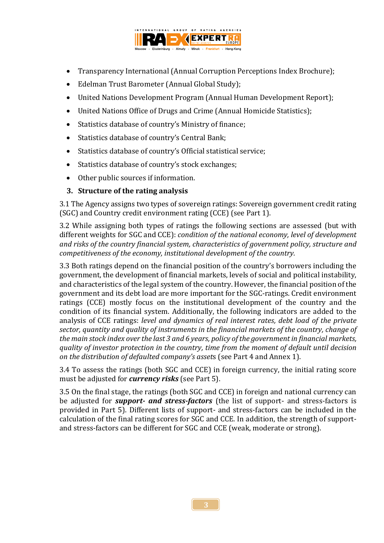

- Transparency International (Annual Corruption Perceptions Index Brochure);
- Edelman Trust Barometer (Annual Global Study);
- United Nations Development Program (Annual Human Development Report);
- United Nations Office of Drugs and Crime (Annual Homicide Statistics);
- Statistics database of country's Ministry of finance;
- Statistics database of country's Central Bank;
- Statistics database of country's Official statistical service;
- Statistics database of country's stock exchanges;
- Other public sources if information.

# **3. Structure of the rating analysis**

3.1 The Agency assigns two types of sovereign ratings: Sovereign government credit rating (SGC) and Country credit environment rating (CCE) (see Part 1).

3.2 While assigning both types of ratings the following sections are assessed (but with different weights for SGC and CCE): *condition of the national economy, level of development and risks of the country financial system, characteristics of government policy, structure and competitiveness of the economy, institutional development of the country.*

3.3 Both ratings depend on the financial position of the country's borrowers including the government, the development of financial markets, levels of social and political instability, and characteristics of the legal system of the country. However, the financial position of the government and its debt load are more important for the SGC-ratings. Credit environment ratings (CCE) mostly focus on the institutional development of the country and the condition of its financial system. Additionally, the following indicators are added to the analysis of CCE ratings: *level and dynamics of real interest rates, debt load of the private sector, quantity and quality of instruments in the financial markets of the country, change of the main stock index over the last 3 and 6 years, policy of the government in financial markets, quality of investor protection in the country, time from the moment of default until decision on the distribution of defaulted company's asset*s (see Part 4 and Annex 1).

3.4 To assess the ratings (both SGC and CCE) in foreign currency, the initial rating score must be adjusted for *currency risks* (see Part 5).

3.5 On the final stage, the ratings (both SGC and CCE) in foreign and national currency can be adjusted for *support- and stress-factors* (the list of support- and stress-factors is provided in Part 5). Different lists of support- and stress-factors can be included in the calculation of the final rating scores for SGC and CCE. In addition, the strength of supportand stress-factors can be different for SGC and CCE (weak, moderate or strong).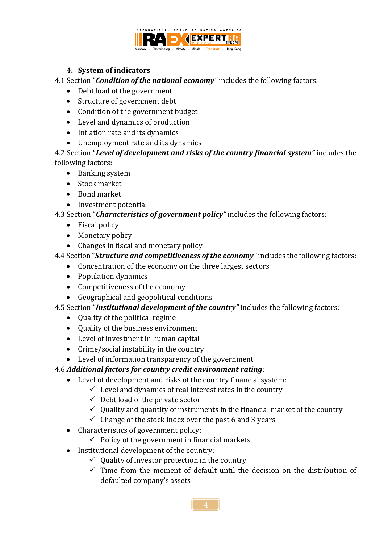

### **4. System of indicators**

4.1 Section "*Condition of the national economy"* includes the following factors:

- Debt load of the government
- Structure of government debt
- Condition of the government budget
- Level and dynamics of production
- Inflation rate and its dynamics
- Unemployment rate and its dynamics

4.2 Section "*Level of development and risks of the country financial system"* includes the following factors:

- Banking system
- Stock market
- Bond market
- Investment potential

4.3 Section "*Characteristics of government policy"* includes the following factors:

- Fiscal policy
- Monetary policy
- Changes in fiscal and monetary policy

# 4.4 Section "*Structure and competitiveness of the economy"* includes the following factors:

- Concentration of the economy on the three largest sectors
- Population dynamics
- Competitiveness of the economy
- Geographical and geopolitical conditions

# 4.5 Section "*Institutional development of the country"* includes the following factors:

- Quality of the political regime
- Quality of the business environment
- Level of investment in human capital
- Crime/social instability in the country
- Level of information transparency of the government

# 4.6 *Additional factors for country credit environment rating*:

- Level of development and risks of the country financial system:
	- $\checkmark$  Level and dynamics of real interest rates in the country
	- $\checkmark$  Debt load of the private sector
	- $\checkmark$  Quality and quantity of instruments in the financial market of the country
	- $\checkmark$  Change of the stock index over the past 6 and 3 years
- Characteristics of government policy:
	- $\checkmark$  Policy of the government in financial markets
- Institutional development of the country:
	- $\checkmark$  Quality of investor protection in the country
	- $\checkmark$  Time from the moment of default until the decision on the distribution of defaulted company's assets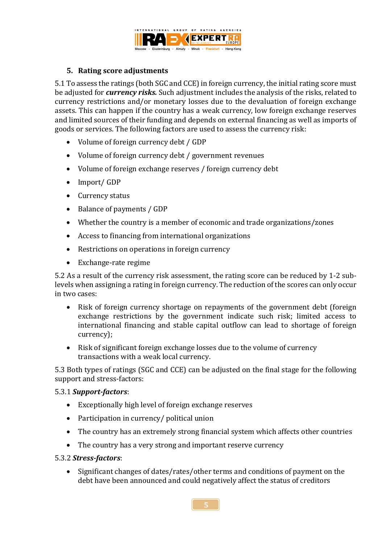

### **5. Rating score adjustments**

5.1 To assess the ratings (both SGC and CCE) in foreign currency, the initial rating score must be adjusted for *currency risks.* Such adjustment includes the analysis of the risks, related to currency restrictions and/or monetary losses due to the devaluation of foreign exchange assets. This can happen if the country has a weak currency, low foreign exchange reserves and limited sources of their funding and depends on external financing as well as imports of goods or services. The following factors are used to assess the currency risk:

- Volume of foreign currency debt / GDP
- Volume of foreign currency debt / government revenues
- Volume of foreign exchange reserves / foreign currency debt
- Import/ GDP
- Currency status
- Balance of payments / GDP
- Whether the country is a member of economic and trade organizations/zones
- Access to financing from international organizations
- Restrictions on operations in foreign currency
- Exchange-rate regime

5.2 As a result of the currency risk assessment, the rating score can be reduced by 1-2 sublevels when assigning a rating in foreign currency. The reduction of the scores can only occur in two cases:

- Risk of foreign currency shortage on repayments of the government debt (foreign exchange restrictions by the government indicate such risk; limited access to international financing and stable capital outflow can lead to shortage of foreign currency);
- Risk of significant foreign exchange losses due to the volume of currency transactions with a weak local currency.

5.3 Both types of ratings (SGC and CCE) can be adjusted on the final stage for the following support and stress-factors:

#### 5.3.1 *Support-factors*:

- Exceptionally high level of foreign exchange reserves
- Participation in currency/ political union
- The country has an extremely strong financial system which affects other countries
- The country has a very strong and important reserve currency

#### 5.3.2 *Stress-factors*:

• Significant changes of dates/rates/other terms and conditions of payment on the debt have been announced and could negatively affect the status of creditors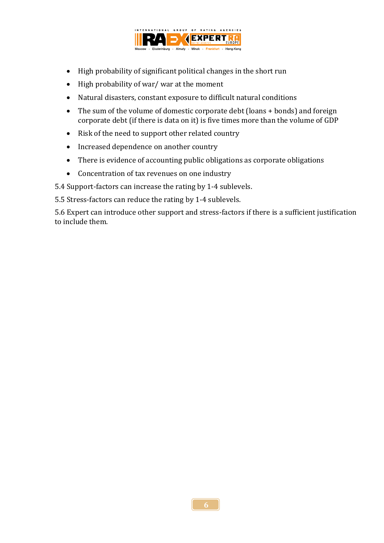

- High probability of significant political changes in the short run
- High probability of war/ war at the moment
- Natural disasters, constant exposure to difficult natural conditions
- The sum of the volume of domestic corporate debt (loans + bonds) and foreign corporate debt (if there is data on it) is five times more than the volume of GDP
- Risk of the need to support other related country
- Increased dependence on another country
- There is evidence of accounting public obligations as corporate obligations
- Concentration of tax revenues on one industry

5.4 Support-factors can increase the rating by 1-4 sublevels.

5.5 Stress-factors can reduce the rating by 1-4 sublevels.

5.6 Expert can introduce other support and stress-factors if there is a sufficient justification to include them.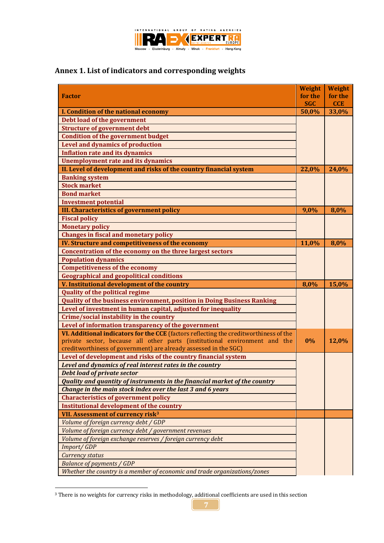

# **Annex 1. List of indicators and corresponding weights**

|                                                                                       | Weight     | <b>Weight</b> |
|---------------------------------------------------------------------------------------|------------|---------------|
| <b>Factor</b>                                                                         | for the    | for the       |
|                                                                                       | <b>SGC</b> | <b>CCE</b>    |
| I. Condition of the national economy                                                  | 50,0%      | 33,0%         |
| Debt load of the government                                                           |            |               |
| <b>Structure of government debt</b>                                                   |            |               |
| <b>Condition of the government budget</b>                                             |            |               |
| <b>Level and dynamics of production</b>                                               |            |               |
| <b>Inflation rate and its dynamics</b>                                                |            |               |
| <b>Unemployment rate and its dynamics</b>                                             |            |               |
| II. Level of development and risks of the country financial system                    | 22,0%      | 24,0%         |
| <b>Banking system</b>                                                                 |            |               |
| <b>Stock market</b>                                                                   |            |               |
| <b>Bond market</b>                                                                    |            |               |
| <b>Investment potential</b>                                                           |            |               |
| <b>III. Characteristics of government policy</b>                                      | 9,0%       | 8,0%          |
| <b>Fiscal policy</b>                                                                  |            |               |
| <b>Monetary policy</b>                                                                |            |               |
| <b>Changes in fiscal and monetary policy</b>                                          |            |               |
| IV. Structure and competitiveness of the economy                                      | 11,0%      | 8,0%          |
| Concentration of the economy on the three largest sectors                             |            |               |
| <b>Population dynamics</b>                                                            |            |               |
| <b>Competitiveness of the economy</b>                                                 |            |               |
| <b>Geographical and geopolitical conditions</b>                                       |            |               |
|                                                                                       |            |               |
| V. Institutional development of the country                                           | 8,0%       | 15,0%         |
| <b>Quality of the political regime</b>                                                |            |               |
| <b>Quality of the business environment, position in Doing Business Ranking</b>        |            |               |
| Level of investment in human capital, adjusted for inequality                         |            |               |
| Crime/social instability in the country                                               |            |               |
| Level of information transparency of the government                                   |            |               |
| VI. Additional indicators for the CCE (factors reflecting the creditworthiness of the |            |               |
| private sector, because all other parts (institutional environment and the            | 0%         | 12,0%         |
| creditworthiness of government) are already assessed in the SGC)                      |            |               |
| Level of development and risks of the country financial system                        |            |               |
| Level and dynamics of real interest rates in the country                              |            |               |
| <b>Debt load of private sector</b>                                                    |            |               |
| <b>Quality and quantity of instruments in the financial market of the country</b>     |            |               |
| Change in the main stock index over the last 3 and 6 years                            |            |               |
| <b>Characteristics of government policy</b>                                           |            |               |
| <b>Institutional development of the country</b>                                       |            |               |
| VII. Assessment of currency risk <sup>3</sup>                                         |            |               |
| Volume of foreign currency debt / GDP                                                 |            |               |
| Volume of foreign currency debt / government revenues                                 |            |               |
| Volume of foreign exchange reserves / foreign currency debt                           |            |               |
|                                                                                       |            |               |
| <b>Import/GDP</b><br><b>Currency status</b>                                           |            |               |
| <b>Balance of payments / GDP</b>                                                      |            |               |

<sup>&</sup>lt;sup>3</sup> There is no weights for currency risks in methodology, additional coefficients are used in this section

1